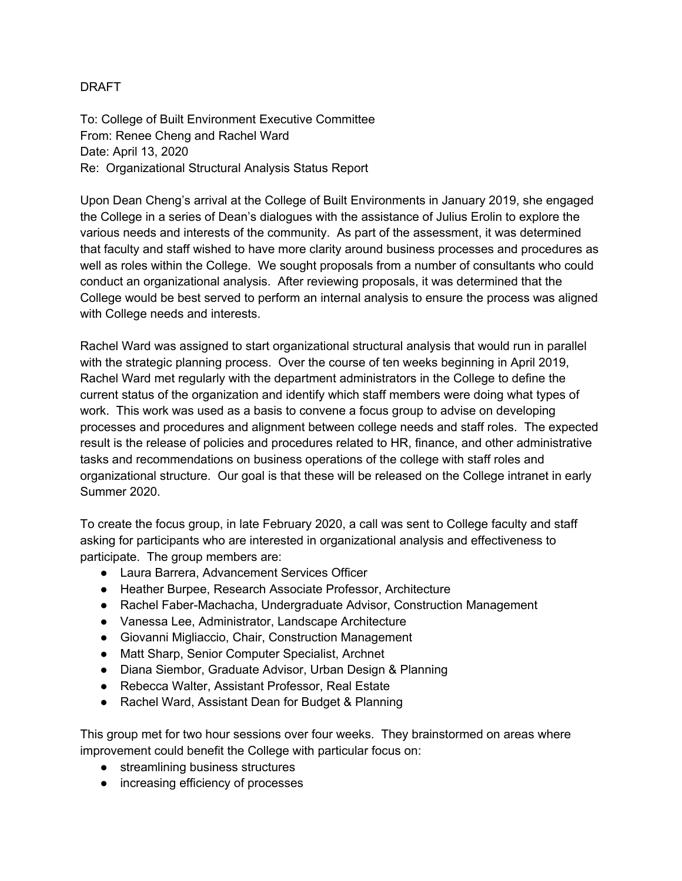#### DRAFT

To: College of Built Environment Executive Committee From: Renee Cheng and Rachel Ward Date: April 13, 2020 Re: Organizational Structural Analysis Status Report

Upon Dean Cheng's arrival at the College of Built Environments in January 2019, she engaged the College in a series of Dean's dialogues with the assistance of Julius Erolin to explore the various needs and interests of the community. As part of the assessment, it was determined that faculty and staff wished to have more clarity around business processes and procedures as well as roles within the College. We sought proposals from a number of consultants who could conduct an organizational analysis. After reviewing proposals, it was determined that the College would be best served to perform an internal analysis to ensure the process was aligned with College needs and interests.

Rachel Ward was assigned to start organizational structural analysis that would run in parallel with the strategic planning process. Over the course of ten weeks beginning in April 2019, Rachel Ward met regularly with the department administrators in the College to define the current status of the organization and identify which staff members were doing what types of work. This work was used as a basis to convene a focus group to advise on developing processes and procedures and alignment between college needs and staff roles. The expected result is the release of policies and procedures related to HR, finance, and other administrative tasks and recommendations on business operations of the college with staff roles and organizational structure. Our goal is that these will be released on the College intranet in early Summer 2020.

To create the focus group, in late February 2020, a call was sent to College faculty and staff asking for participants who are interested in organizational analysis and effectiveness to participate. The group members are:

- Laura Barrera, Advancement Services Officer
- Heather Burpee, Research Associate Professor, Architecture
- Rachel Faber-Machacha, Undergraduate Advisor, Construction Management
- Vanessa Lee, Administrator, Landscape Architecture
- Giovanni Migliaccio, Chair, Construction Management
- Matt Sharp, Senior Computer Specialist, Archnet
- Diana Siembor, Graduate Advisor, Urban Design & Planning
- Rebecca Walter, Assistant Professor, Real Estate
- Rachel Ward, Assistant Dean for Budget & Planning

This group met for two hour sessions over four weeks. They brainstormed on areas where improvement could benefit the College with particular focus on:

- streamlining business structures
- increasing efficiency of processes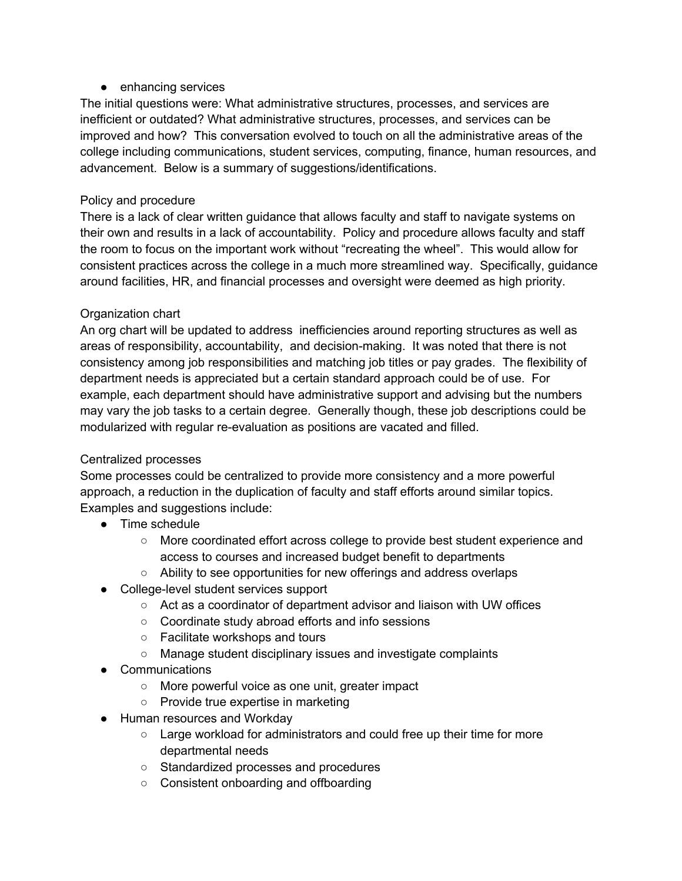## ● enhancing services

The initial questions were: What administrative structures, processes, and services are inefficient or outdated? What administrative structures, processes, and services can be improved and how? This conversation evolved to touch on all the administrative areas of the college including communications, student services, computing, finance, human resources, and advancement. Below is a summary of suggestions/identifications.

# Policy and procedure

There is a lack of clear written guidance that allows faculty and staff to navigate systems on their own and results in a lack of accountability. Policy and procedure allows faculty and staff the room to focus on the important work without "recreating the wheel". This would allow for consistent practices across the college in a much more streamlined way. Specifically, guidance around facilities, HR, and financial processes and oversight were deemed as high priority.

# Organization chart

An org chart will be updated to address inefficiencies around reporting structures as well as areas of responsibility, accountability, and decision-making. It was noted that there is not consistency among job responsibilities and matching job titles or pay grades. The flexibility of department needs is appreciated but a certain standard approach could be of use. For example, each department should have administrative support and advising but the numbers may vary the job tasks to a certain degree. Generally though, these job descriptions could be modularized with regular re-evaluation as positions are vacated and filled.

## Centralized processes

Some processes could be centralized to provide more consistency and a more powerful approach, a reduction in the duplication of faculty and staff efforts around similar topics. Examples and suggestions include:

- Time schedule
	- More coordinated effort across college to provide best student experience and access to courses and increased budget benefit to departments
	- Ability to see opportunities for new offerings and address overlaps
- College-level student services support
	- Act as a coordinator of department advisor and liaison with UW offices
	- Coordinate study abroad efforts and info sessions
	- Facilitate workshops and tours
	- Manage student disciplinary issues and investigate complaints
- Communications
	- More powerful voice as one unit, greater impact
	- Provide true expertise in marketing
- Human resources and Workday
	- Large workload for administrators and could free up their time for more departmental needs
	- Standardized processes and procedures
	- Consistent onboarding and offboarding